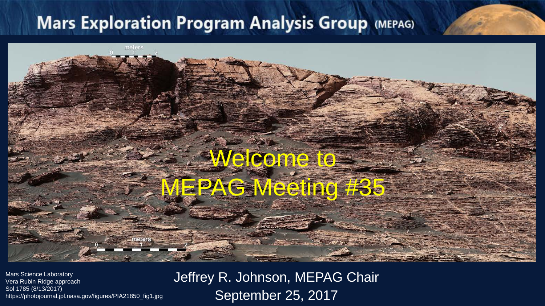# Welcome to MEPAG Meeting #35

Mars Science Laboratory Vera Rubin Ridge approach Sol 1785 (8/13/2017) https://photojournal.jpl.nasa.gov/figures/PIA21850\_fig1.jpg Jeffrey R. Johnson, MEPAG Chair September 25, 2017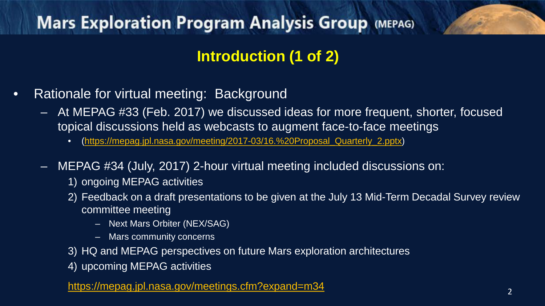#### **Introduction (1 of 2)**

- Rationale for virtual meeting: Background
	- At MEPAG #33 (Feb. 2017) we discussed ideas for more frequent, shorter, focused topical discussions held as webcasts to augment face-to-face meetings
		- ([https://mepag.jpl.nasa.gov/meeting/2017-03/16.%20Proposal\\_Quarterly\\_2.pptx\)](https://mepag.jpl.nasa.gov/meeting/2017-03/16.%20Proposal_Quarterly_2.pptx)
	- MEPAG #34 (July, 2017) 2-hour virtual meeting included discussions on:
		- 1) ongoing MEPAG activities
		- 2) Feedback on a draft presentations to be given at the July 13 Mid-Term Decadal Survey review committee meeting
			- Next Mars Orbiter (NEX/SAG)
			- Mars community concerns
		- 3) HQ and MEPAG perspectives on future Mars exploration architectures
		- 4) upcoming MEPAG activities

<https://mepag.jpl.nasa.gov/meetings.cfm?expand=m34> 2 2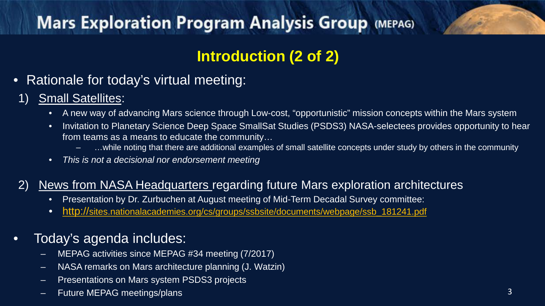#### **Introduction (2 of 2)**

• Rationale for today's virtual meeting:

#### 1) Small Satellites:

- A new way of advancing Mars science through Low-cost, "opportunistic" mission concepts within the Mars system
- Invitation to Planetary Science Deep Space SmallSat Studies (PSDS3) NASA-selectees provides opportunity to hear from teams as a means to educate the community…
	- …while noting that there are additional examples of small satellite concepts under study by others in the community
- *This is not a decisional nor endorsement meeting*

#### 2) News from NASA Headquarters regarding future Mars exploration architectures

- Presentation by Dr. Zurbuchen at August meeting of Mid-Term Decadal Survey committee:
- [http://sites.nationalacademies.org/cs/groups/ssbsite/documents/webpage/ssb\\_181241.pdf](http://sites.nationalacademies.org/cs/groups/ssbsite/documents/webpage/ssb_181241.pdf)

#### • Today's agenda includes:

- MEPAG activities since MEPAG #34 meeting (7/2017)
- NASA remarks on Mars architecture planning (J. Watzin)
- Presentations on Mars system PSDS3 projects
- Future MEPAG meetings/plans 3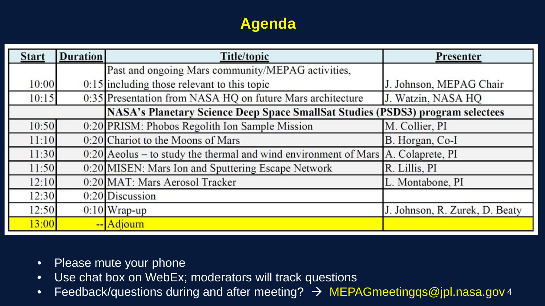#### **Agenda**

| <b>Start</b> | <b>Duration</b> | <b>Title/topic</b>                                                                    | Presenter                      |
|--------------|-----------------|---------------------------------------------------------------------------------------|--------------------------------|
|              |                 | Past and ongoing Mars community/MEPAG activities,                                     |                                |
| 10:00        |                 | $0:15$ including those relevant to this topic                                         | J. Johnson, MEPAG Chair        |
| 10:15        |                 | 0:35 Presentation from NASA HQ on future Mars architecture                            | J. Watzin, NASA HQ             |
|              |                 | NASA's Planetary Science Deep Space SmallSat Studies (PSDS3) program selectees        |                                |
| 10:50        |                 | 0:20 PRISM: Phobos Regolith Ion Sample Mission                                        | M. Collier, PI                 |
| 11:10        |                 | 0:20 Chariot to the Moons of Mars                                                     | B. Horgan, Co-I                |
| 11:30        |                 | $0:20$ Aeolus – to study the thermal and wind environment of Mars $A$ . Colaprete, PI |                                |
| 11:50        |                 | 0:20 MISEN: Mars Ion and Sputtering Escape Network                                    | R. Lillis, PI                  |
| 12:10        |                 | 0:20 MAT: Mars Aerosol Tracker                                                        | L. Montabone, PI               |
| 12:30        |                 | $0:20$ Discussion                                                                     |                                |
| 12:50        |                 | $0:10$ Wrap-up                                                                        | J. Johnson, R. Zurek, D. Beaty |
| 13:00        |                 | -- Adjourn                                                                            |                                |

- Please mute your phone
- Use chat box on WebEx; moderators will track questions
- Feedback/questions during and after meeting?  $\rightarrow$  MEPAGmeetingqs@jpl.nasa.gov 4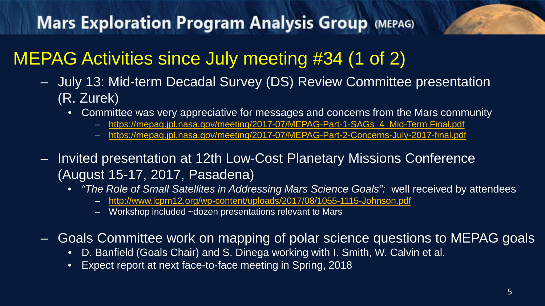# MEPAG Activities since July meeting #34 (1 of 2)

- July 13: Mid-term Decadal Survey (DS) Review Committee presentation (R. Zurek)
	- Committee was very appreciative for messages and concerns from the Mars community
		- [https://mepag.jpl.nasa.gov/meeting/2017-07/MEPAG-Part-1-SAGs\\_4\\_Mid-Term Final.pdf](https://mepag.jpl.nasa.gov/meeting/2017-07/MEPAG-Part-1-SAGs_4_Mid-Term%20Final.pdf)
		- <https://mepag.jpl.nasa.gov/meeting/2017-07/MEPAG-Part-2-Concerns-July-2017-final.pdf>
- Invited presentation at 12th Low-Cost Planetary Missions Conference (August 15-17, 2017, Pasadena)
	- *"The Role of Small Satellites in Addressing Mars Science Goals":* well received by attendees
		- <http://www.lcpm12.org/wp-content/uploads/2017/08/1055-1115-Johnson.pdf>
		- Workshop included ~dozen presentations relevant to Mars
- Goals Committee work on mapping of polar science questions to MEPAG goals
	- D. Banfield (Goals Chair) and S. Dinega working with I. Smith, W. Calvin et al.
	- Expect report at next face-to-face meeting in Spring, 2018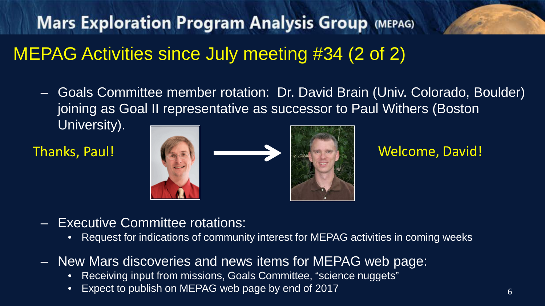# MEPAG Activities since July meeting #34 (2 of 2)

– Goals Committee member rotation: Dr. David Brain (Univ. Colorado, Boulder) joining as Goal II representative as successor to Paul Withers (Boston)

University).



- Executive Committee rotations:
	- Request for indications of community interest for MEPAG activities in coming weeks
- New Mars discoveries and news items for MEPAG web page:
	- Receiving input from missions, Goals Committee, "science nuggets"
	- Expect to publish on MEPAG web page by end of 2017 6